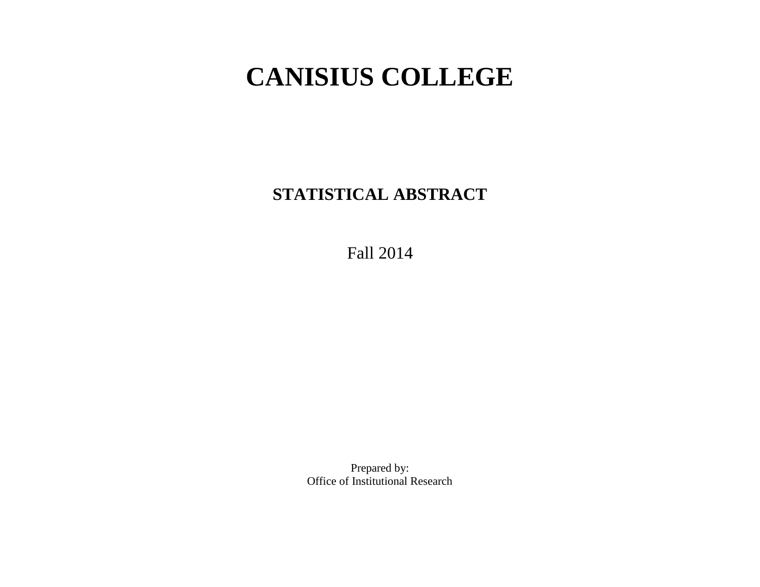# **CANISIUS COLLEGE**

**STATISTICAL ABSTRACT**

Fall 2014

Prepared by: Office of Institutional Research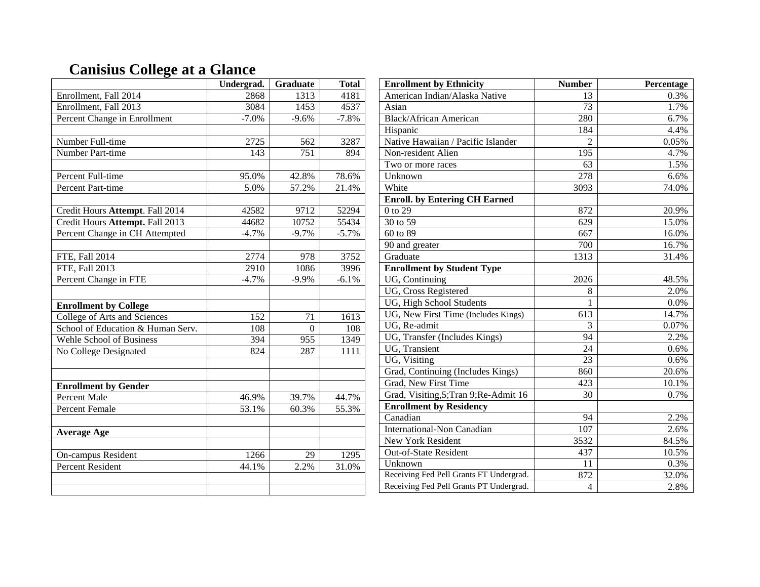# **Canisius College at a Glance**

|                                   | Undergrad.       | Graduate | <b>Total</b> |
|-----------------------------------|------------------|----------|--------------|
| Enrollment, Fall 2014             | 2868             | 1313     | 4181         |
| Enrollment, Fall 2013             | 3084             | 1453     | 4537         |
| Percent Change in Enrollment      | $-7.0%$          | $-9.6%$  | $-7.8%$      |
|                                   |                  |          |              |
| Number Full-time                  | 2725             | 562      | 3287         |
| Number Part-time                  | 143              | 751      | 894          |
|                                   |                  |          |              |
| Percent Full-time                 | 95.0%            | 42.8%    | 78.6%        |
| Percent Part-time                 | 5.0%             | 57.2%    | 21.4%        |
|                                   |                  |          |              |
| Credit Hours Attempt. Fall 2014   | 42582            | 9712     | 52294        |
| Credit Hours Attempt. Fall 2013   | 44682            | 10752    | 55434        |
| Percent Change in CH Attempted    | $-4.7%$          | $-9.7%$  | $-5.7%$      |
|                                   |                  |          |              |
| FTE, Fall 2014                    | 2774             | 978      | 3752         |
| <b>FTE, Fall 2013</b>             | $\frac{2910}{ }$ | 1086     | 3996         |
| Percent Change in FTE             | $-4.7%$          | $-9.9%$  | $-6.1%$      |
|                                   |                  |          |              |
| <b>Enrollment by College</b>      |                  |          |              |
| College of Arts and Sciences      | 152              | 71       | 1613         |
| School of Education & Human Serv. | 108              | $\theta$ | 108          |
| <b>Wehle School of Business</b>   | 394              | 955      | 1349         |
| No College Designated             | 824              | 287      | 1111         |
|                                   |                  |          |              |
|                                   |                  |          |              |
| <b>Enrollment by Gender</b>       |                  |          |              |
| <b>Percent Male</b>               | 46.9%            | 39.7%    | 44.7%        |
| <b>Percent Female</b>             | 53.1%            | 60.3%    | 55.3%        |
|                                   |                  |          |              |
| <b>Average Age</b>                |                  |          |              |
|                                   |                  |          |              |
| On-campus Resident                | 1266             | 29       | 1295         |
| <b>Percent Resident</b>           | 44.1%            | 2.2%     | 31.0%        |
|                                   |                  |          |              |
|                                   |                  |          |              |

| <b>Enrollment by Ethnicity</b>          | <b>Number</b>  | Percentage |
|-----------------------------------------|----------------|------------|
| American Indian/Alaska Native           | 13             | 0.3%       |
| Asian                                   | 73             | 1.7%       |
| <b>Black/African American</b>           | 280            | 6.7%       |
| Hispanic                                | 184            | 4.4%       |
| Native Hawaiian / Pacific Islander      | $\mathfrak{D}$ | 0.05%      |
| Non-resident Alien                      | 195            | 4.7%       |
| Two or more races                       | 63             | 1.5%       |
| Unknown                                 | 278            | 6.6%       |
| White                                   | 3093           | 74.0%      |
| <b>Enroll.</b> by Entering CH Earned    |                |            |
| 0 to 29                                 | 872            | 20.9%      |
| 30 to 59                                | 629            | 15.0%      |
| 60 to 89                                | 667            | 16.0%      |
| 90 and greater                          | 700            | 16.7%      |
| Graduate                                | 1313           | 31.4%      |
| <b>Enrollment by Student Type</b>       |                |            |
| UG, Continuing                          | 2026           | 48.5%      |
| UG, Cross Registered                    | 8              | 2.0%       |
| UG, High School Students                | 1              | 0.0%       |
| UG, New First Time (Includes Kings)     | 613            | 14.7%      |
| UG, Re-admit                            | 3              | 0.07%      |
| UG, Transfer (Includes Kings)           | 94             | 2.2%       |
| UG, Transient                           | 24             | 0.6%       |
| UG, Visiting                            | 23             | 0.6%       |
| Grad, Continuing (Includes Kings)       | 860            | 20.6%      |
| Grad, New First Time                    | 423            | 10.1%      |
| Grad, Visiting, 5; Tran 9; Re-Admit 16  | 30             | 0.7%       |
| <b>Enrollment by Residency</b>          |                |            |
| Canadian                                | 94             | 2.2%       |
| <b>International-Non Canadian</b>       | 107            | 2.6%       |
| <b>New York Resident</b>                | 3532           | 84.5%      |
| Out-of-State Resident                   | 437            | 10.5%      |
| Unknown                                 | 11             | 0.3%       |
| Receiving Fed Pell Grants FT Undergrad. | 872            | 32.0%      |
| Receiving Fed Pell Grants PT Undergrad. | 4              | 2.8%       |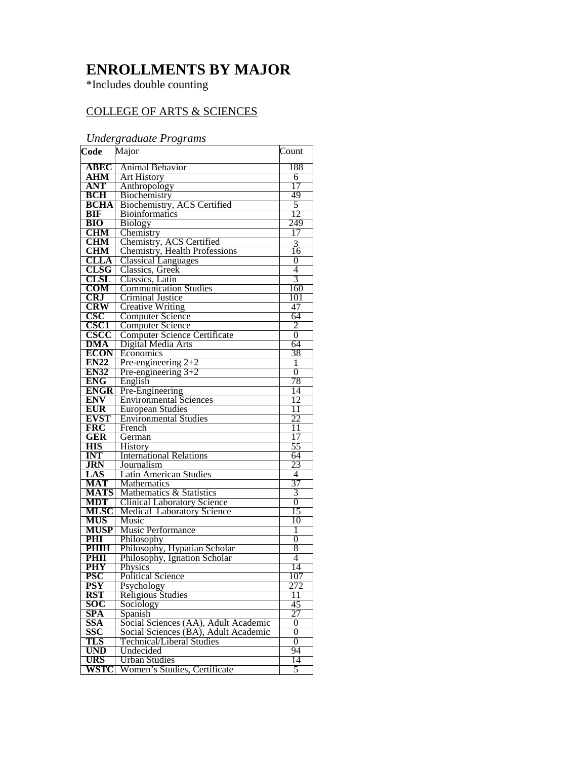# **ENROLLMENTS BY MAJOR**

\*Includes double counting

## COLLEGE OF ARTS & SCIENCES

### *Undergraduate Programs*

| Code                      | Major                                                                   | Count           |
|---------------------------|-------------------------------------------------------------------------|-----------------|
| <b>ABEC</b>               | Animal Behavior                                                         | 188             |
| <b>AHM</b>                | <b>Art History</b>                                                      | 6               |
| <b>ANT</b>                | Anthropology                                                            | 17              |
| <b>BCH</b>                | Biochemistry                                                            | 49              |
| <b>BCHA</b>               | Biochemistry, ACS Certified                                             | 5               |
| <b>BIF</b>                | <b>Bioinformatics</b>                                                   | 12              |
| <b>BIO</b>                | <b>Biology</b>                                                          | 249             |
| <b>CHM</b>                | Chemistry                                                               | 17              |
| <b>CHM</b>                | Chemistry, ACS Certified                                                | 3               |
| <b>CHM</b>                | Chemistry, Health Professions                                           | 16              |
| CLLA                      | <b>Classical Languages</b>                                              | 0               |
| CLSG                      | Classics, Greek                                                         | 4               |
| <b>CLSL</b>               | Classics, Latin                                                         | 3               |
| <b>COM</b>                | <b>Communication Studies</b>                                            | 160             |
| <b>CRJ</b>                | Criminal Justice                                                        | 101             |
| <b>CRW</b>                | <b>Creative Writing</b>                                                 | 47              |
| $\csc$                    | <b>Computer Science</b>                                                 | 64              |
| <b>CSC1</b>               | <b>Computer Science</b>                                                 | 2               |
| <b>CSCC</b>               | <b>Computer Science Certificate</b>                                     | 0               |
| <b>DMA</b>                | Digital Media Arts                                                      | 64              |
| <b>ECON</b>               | Economics                                                               | 38              |
| <b>EN22</b>               | Pre-engineering $2+2$                                                   | 1               |
| <b>EN32</b>               | Pre-engineering $3+2$                                                   | $\overline{0}$  |
| <b>ENG</b>                | English                                                                 | 78              |
| <b>ENGR</b>               | Pre-Engineering                                                         | 14              |
| <b>ENV</b>                | <b>Environmental Sciences</b>                                           | 12              |
| <b>EUR</b>                | <b>European Studies</b>                                                 | $\overline{11}$ |
| <b>EVST</b>               | <b>Environmental Studies</b>                                            | 22              |
| <b>FRC</b>                | French                                                                  | 11              |
| <b>GER</b>                | German                                                                  | 17              |
| <b>HIS</b>                | History                                                                 | 55              |
| <b>INT</b>                | <b>International Relations</b>                                          | 64<br>23        |
| <b>JRN</b>                | Journalism<br><b>Latin American Studies</b>                             | 4               |
| LAS                       |                                                                         | 37              |
| <b>MAT</b><br><b>MATS</b> | Mathematics<br>Mathematics & Statistics                                 | 3               |
| <b>MDT</b>                |                                                                         | $\overline{0}$  |
| <b>MLSC</b>               | <b>Clinical Laboratory Science</b><br><b>Medical Laboratory Science</b> | 15              |
| MUS                       | <b>Music</b>                                                            | 10              |
| <b>MUSP</b>               | Music Performance                                                       | 1               |
| PHI                       | Philosophy                                                              | $\overline{0}$  |
| PHIH                      | Philosophy, Hypatian Scholar                                            | 8               |
| PHII                      | Philosophy, Ignation Scholar                                            | 4               |
| <b>PHY</b>                | Physics                                                                 | 14              |
| PSC                       | Political Science                                                       | 107             |
| <b>PSY</b>                | Psychology                                                              | 272             |
| <b>RST</b>                | Religious Studies                                                       | 11              |
| SOC                       | Sociology                                                               | 45              |
| <b>SPA</b>                | Spanish                                                                 | 27              |
| <b>SSA</b>                | Social Sciences (AA), Adult Academic                                    | 0               |
| SSC                       | Social Sciences (BA), Adult Academic                                    | 0               |
| TLS                       | Technical/Liberal Studies                                               | 0               |
| <b>UND</b>                | Undecided                                                               | 94              |
| <b>URS</b>                | Urban Studies                                                           | 14              |
| WSTC                      | Women's Studies, Certificate                                            | 5               |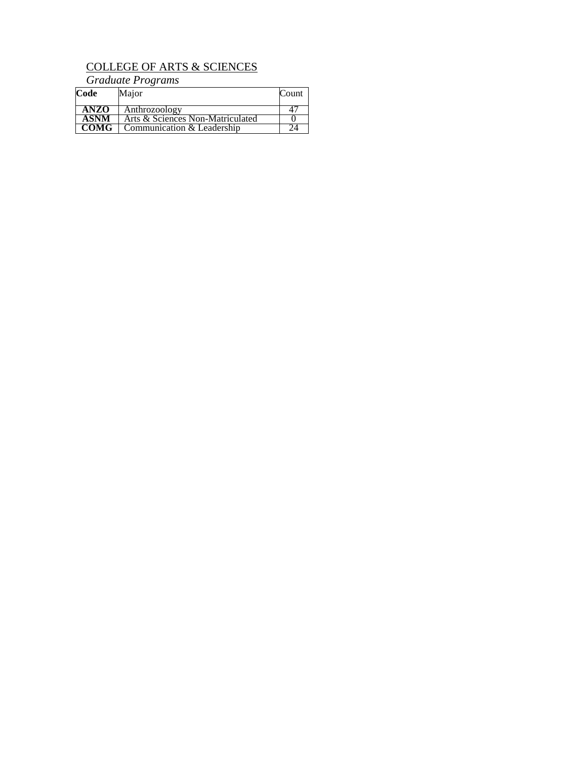## COLLEGE OF ARTS & SCIENCES

*Graduate Programs*

| Code        | Major                            | Count |
|-------------|----------------------------------|-------|
| <b>ANZO</b> | Anthrozoology                    |       |
| <b>ASNM</b> | Arts & Sciences Non-Matriculated |       |
| <b>COMG</b> | Communication & Leadership       |       |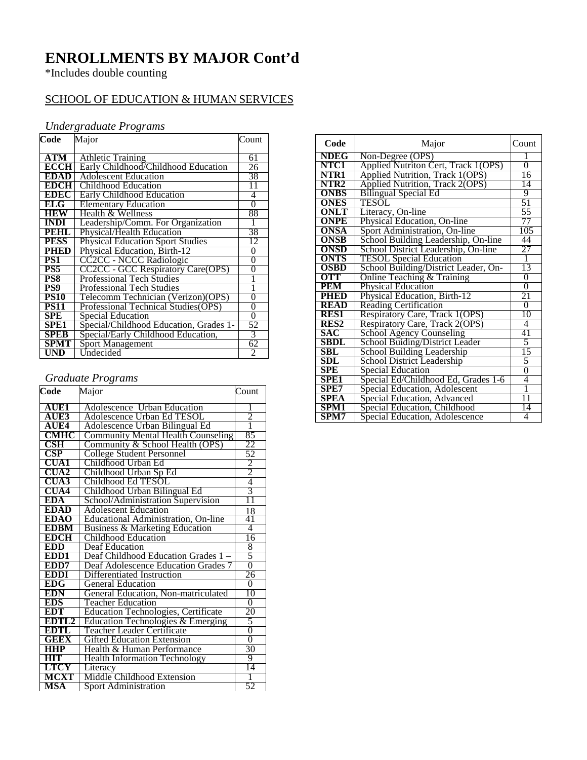# **ENROLLMENTS BY MAJOR Cont'd**

\*Includes double counting

## SCHOOL OF EDUCATION & HUMAN SERVICES

### *Undergraduate Programs*

| Code        | Major                                   | Count          |
|-------------|-----------------------------------------|----------------|
|             |                                         |                |
| ATM         | <b>Athletic Training</b>                | 61             |
| <b>ECCH</b> | Early Childhood/Childhood Education     | 26             |
| <b>EDAD</b> | <b>Adolescent Education</b>             | 38             |
| EDCH        | Childhood Education                     | 11             |
| EDEC        | <b>Early Childhood Education</b>        | 4              |
| ELG         | <b>Elementary Education</b>             | 0              |
| <b>HEW</b>  | Health & Wellness                       | 88             |
| <b>INDI</b> | Leadership/Comm. For Organization       |                |
| PEHL        | <b>Physical/Health Education</b>        | 38             |
| <b>PESS</b> | <b>Physical Education Sport Studies</b> | 12             |
| PHED        | <b>Physical Education, Birth-12</b>     | 0              |
| PS1         | CC2CC - NCCC Radiologic                 | $\overline{0}$ |
| PS5         | CC2CC - GCC Respiratory Care(OPS)       | $\overline{0}$ |
| PS8         | <b>Professional Tech Studies</b>        |                |
| PS9         | <b>Professional Tech Studies</b>        |                |
| <b>PS10</b> | Telecomm Technician (Verizon) (OPS)     | 0              |
| PS11        | Professional Technical Studies(OPS)     | 0              |
| <b>SPE</b>  | Special Education                       | 0              |
| <b>SPE1</b> | Special/Childhood Education, Grades 1-  | 52             |
| <b>SPEB</b> | Special/Early Childhood Education,      | 3              |
| SPMT        | <b>Sport Management</b>                 | 62             |
| UND         | Undecided                               | 2              |

## *Graduate Programs*

| Code                    | Major                                      | Count          |
|-------------------------|--------------------------------------------|----------------|
| <b>AUE1</b>             | <b>Adolescence Urban Education</b>         | I              |
| AUE3                    | Adolescence Urban Ed TESOL                 | $\overline{2}$ |
| AUE4                    | Adolescence Urban Bilingual Ed             | ī              |
| <b>CMHC</b>             | <b>Community Mental Health Counseling</b>  | 85             |
| $\overline{\text{CSH}}$ | Community & School Health (OPS)            | 22             |
| $\overline{\text{CSP}}$ | <b>College Student Personnel</b>           | 52             |
| CUA1                    | Childhood Urban Ed                         |                |
| CUA2                    | Childhood Urban Sp Ed                      | $\frac{2}{2}$  |
| CUA3                    | Childhood Ed TESOL                         |                |
| <b>CUA4</b>             | Childhood Urban Bilingual Ed               | 3              |
| EDA                     | School/Administration Supervision          | 11             |
| <b>EDAD</b>             | <b>Adolescent Education</b>                | 18             |
| <b>EDAO</b>             | Educational Administration, On-line        | 41             |
| EDBM                    | <b>Business &amp; Marketing Education</b>  | 4              |
| <b>EDCH</b>             | Childhood Education                        | 16             |
| <b>EDD</b>              | Deaf Education                             | 8              |
| EDD <sub>1</sub>        | Deaf Childhood Education Grades 1          | 5              |
| EDD7                    | Deaf Adolescence Education Grades 7        | $\overline{0}$ |
| EDDI                    | Differentiated Instruction                 | 26             |
| <b>EDG</b>              | <b>General Education</b>                   | 0              |
| EDN                     | General Education, Non-matriculated        | 10             |
| <b>EDS</b>              | Teacher Education                          | 0              |
| <b>EDT</b>              | <b>Education Technologies, Certificate</b> | 20             |
| EDTL2                   | Education Technologies & Emerging          | 5              |
| EDTL                    | <b>Teacher Leader Certificate</b>          | $\overline{0}$ |
| <b>GEEX</b>             | <b>Gifted Education Extension</b>          | $\overline{0}$ |
|                         | Health & Human Performance                 | 30             |
| HIT                     | <b>Health Information Technology</b>       | 9              |
| <b>LTCY</b>             | Literacy                                   | 14             |
| <b>MCXT</b>             | Middle Childhood Extension                 |                |
| <b>MSA</b>              | <b>Sport Administration</b>                | 52             |

| Code                 | Major                                  | Count            |
|----------------------|----------------------------------------|------------------|
| <b>NDEG</b>          | Non-Degree (OPS)                       |                  |
| NTC1                 | Applied Nutriton Cert, Track 1(OPS)    | $\overline{0}$   |
| NTR1                 | <b>Applied Nutrition, Track 1(OPS)</b> | 16               |
| NTR <sub>2</sub>     | Applied Nutrition, Track 2(OPS)        | 14               |
| <b>ONBS</b>          | <b>Bilingual Special Ed</b>            | 9                |
| ONES                 | <b>TESOL</b>                           | 51               |
| <b>ONLT</b>          | Literacy, On-line                      | 55               |
| ONPE                 | Physical Education, On-line            | 77               |
| <b>ONSA</b>          | Sport Administration, On-line          | $10\overline{5}$ |
| ONSB                 | School Building Leadership, On-line    | 44               |
| ONSD                 | School District Leadership, On-line    | 27               |
| ONTS                 | <b>TESOL Special Education</b>         | 1                |
| <b>OSBD</b>          | School Building/District Leader, On-   | 13               |
| <b>OTT</b>           | Online Teaching & Training             | $\overline{0}$   |
| <b>PEM</b>           | <b>Physical Education</b>              | $\overline{0}$   |
| <b>PHED</b>          | Physical Education, Birth-12           | 21               |
| <b>READ</b>          | <b>Reading Certification</b>           | $\overline{0}$   |
| <b>RES1</b>          | Respiratory Care, Track 1(OPS)         | 10               |
| <b>RES2</b>          | Respiratory Care, Track 2(OPS)         | 4                |
| <b>SAC</b>           | <b>School Agency Counseling</b>        | 41               |
| <b>SBDL</b>          | School Buiding/District Leader         | 5                |
| SBL                  | School Building Leadership             | 15               |
| $\operatorname{SDL}$ | School District Leadership             | 5                |
| SPE                  | Special Education                      | 0                |
| SPE1                 | Special Ed/Childhood Ed, Grades 1-6    | 4                |
| <b>SPE7</b>          | Special Education, Adolescent          | Ī                |
| <b>SPEA</b>          | Special Education, Advanced            | 11               |
| SPM1                 | Special Education, Childhood           | 14               |
| SPM7                 | Special Education, Adolescence         | 4                |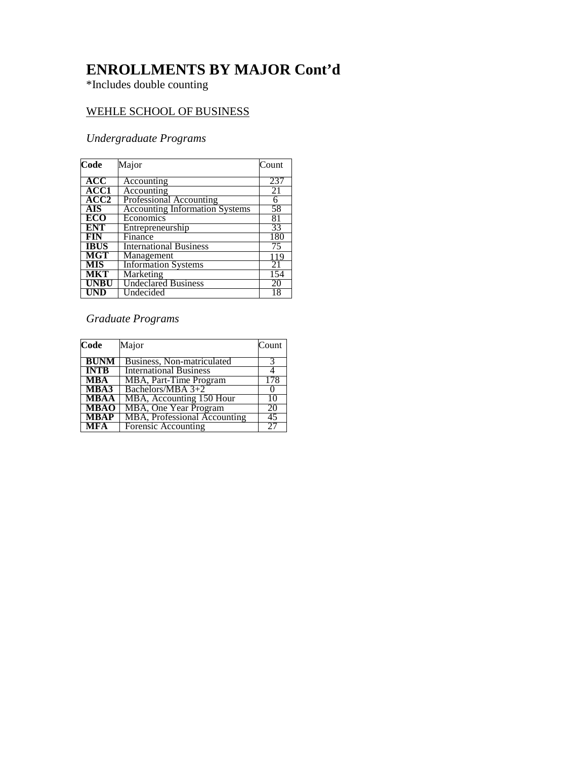# **ENROLLMENTS BY MAJOR Cont'd**

\*Includes double counting

### WEHLE SCHOOL OF BUSINESS

## *Undergraduate Programs*

| Code        | Major                                 | Count |
|-------------|---------------------------------------|-------|
| <b>ACC</b>  | Accounting                            | 237   |
| ACC1        | Accounting                            | 21    |
| <b>ACC2</b> | Professional Accounting               | 6     |
| <b>AIS</b>  | <b>Accounting Information Systems</b> | 58    |
| <b>ECO</b>  | Economics                             | 81    |
| <b>ENT</b>  | Entrepreneurship                      | 33    |
| <b>FIN</b>  | Finance                               | 180   |
| <b>IBUS</b> | <b>International Business</b>         | 75    |
| MGT         | Management                            | 119   |
| <b>MIS</b>  | <b>Information Systems</b>            | 21    |
| <b>MKT</b>  | Marketing                             | 154   |
| <b>UNBU</b> | <b>Undeclared Business</b>            | 20    |
| UND         | Undecided                             | 18    |

*Graduate Programs*

| Code        | Major                         | Count |
|-------------|-------------------------------|-------|
| BUNM        | Business, Non-matriculated    |       |
| <b>INTB</b> | <b>International Business</b> |       |
| <b>MBA</b>  | MBA, Part-Time Program        | 178   |
| MBA3        | Bachelors/MBA 3+2             |       |
| <b>MBAA</b> | MBA, Accounting 150 Hour      | 10    |
| <b>MBAO</b> | MBA, One Year Program         | 20    |
| <b>MBAP</b> | MBA, Professional Accounting  | 45    |
| <b>MFA</b>  | Forensic Accounting           | 27    |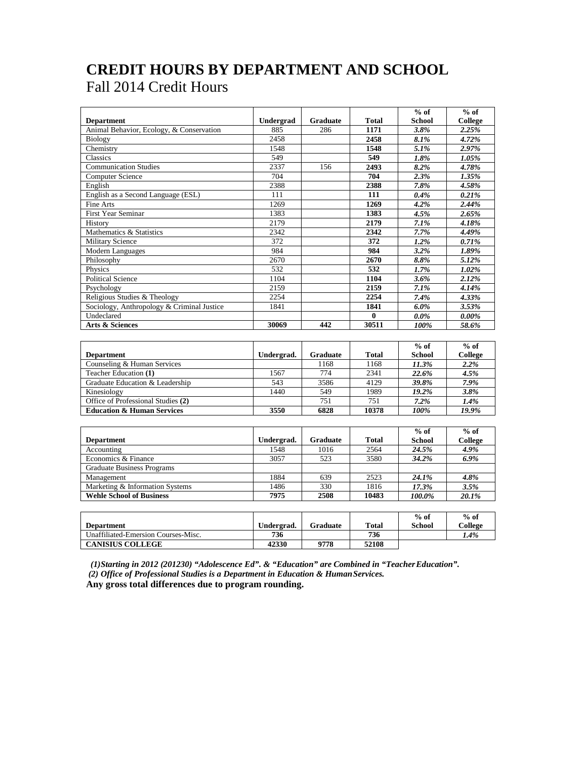## **CREDIT HOURS BY DEPARTMENT AND SCHOOL** Fall 2014 Credit Hours

|                                            |            |                 |                  | $%$ of                      | $%$ of                   |
|--------------------------------------------|------------|-----------------|------------------|-----------------------------|--------------------------|
| <b>Department</b>                          | Undergrad  | <b>Graduate</b> | <b>Total</b>     | <b>School</b>               | <b>College</b>           |
| Animal Behavior, Ecology, & Conservation   | 885        | 286             | 1171             | 3.8%                        | 2.25%                    |
| Biology                                    | 2458       |                 | 2458             | 8.1%                        | 4.72%                    |
| Chemistry                                  | 1548       |                 | 1548             | 5.1%                        | 2.97%                    |
| Classics                                   | 549        |                 | 549              | 1.8%                        | 1.05%                    |
| <b>Communication Studies</b>               | 2337       | 156             | 2493             | 8.2%                        | 4.78%                    |
| <b>Computer Science</b>                    | 704        |                 | 704              | 2.3%                        | 1.35%                    |
| English                                    | 2388       |                 | 2388             | 7.8%                        | 4.58%                    |
| English as a Second Language (ESL)         | 111        |                 | 111              | 0.4%                        | 0.21%                    |
| Fine Arts                                  | 1269       |                 | 1269             | 4.2%                        | 2.44%                    |
| <b>First Year Seminar</b>                  | 1383       |                 | 1383             | 4.5%                        | 2.65%                    |
| History                                    | 2179       |                 | 2179             | 7.1%                        | 4.18%                    |
| Mathematics & Statistics                   | 2342       |                 | 2342             | 7.7%                        | 4.49%                    |
| <b>Military Science</b>                    | 372        |                 | $\overline{372}$ | 1.2%                        | 0.71%                    |
| Modern Languages                           | 984        |                 | 984              | 3.2%                        | 1.89%                    |
| Philosophy                                 | 2670       |                 | $\frac{2670}{ }$ | 8.8%                        | 5.12%                    |
| Physics                                    | 532        |                 | 532              | 1.7%                        | 1.02%                    |
| <b>Political Science</b>                   | 1104       |                 | 1104             | 3.6%                        | 2.12%                    |
| Psychology                                 | 2159       |                 | 2159             | 7.1%                        | 4.14%                    |
| Religious Studies & Theology               | 2254       |                 | 2254             | 7.4%                        | 4.33%                    |
| Sociology, Anthropology & Criminal Justice | 1841       |                 | 1841             | 6.0%                        | 3.53%                    |
| Undeclared                                 |            |                 | $\bf{0}$         | $0.0\%$                     | $0.00\%$                 |
| <b>Arts &amp; Sciences</b>                 | 30069      | 442             | 30511            | 100%                        | 58.6%                    |
|                                            |            |                 |                  |                             |                          |
|                                            |            |                 |                  | $%$ of                      | $%$ of                   |
| <b>Department</b>                          | Undergrad. | <b>Graduate</b> | <b>Total</b>     | <b>School</b>               | College                  |
| Counseling & Human Services                |            | 1168            | 1168             | 11.3%                       | 2.2%                     |
| Teacher Education (1)                      | 1567       | 774             | 2341             | 22.6%                       | 4.5%                     |
| Graduate Education & Leadership            | 543        | 3586            | 4129             | 39.8%                       | 7.9%                     |
| Kinesiology                                | 1440       | 549             | 1989             | 19.2%                       | 3.8%                     |
| Office of Professional Studies (2)         |            | 751             | 751              |                             |                          |
| <b>Education &amp; Human Services</b>      | 3550       | 6828            | 10378            | 7.2%<br>100%                | 1.4%<br>19.9%            |
|                                            |            |                 |                  |                             |                          |
|                                            |            |                 |                  |                             |                          |
|                                            |            |                 |                  | $\overline{\% \text{ of }}$ | $\overline{^{0}/_{0}$ of |
| <b>Department</b>                          | Undergrad. | <b>Graduate</b> | <b>Total</b>     | <b>School</b>               | College                  |
| Accounting                                 | 1548       | 1016            | 2564             | 24.5%                       | 4.9%                     |
| Economics & Finance                        | 3057       | 523             | 3580             | 34.2%                       | 6.9%                     |
| <b>Graduate Business Programs</b>          |            |                 |                  |                             |                          |
| Management                                 | 1884       | 639             | 2523             | 24.1%                       | 4.8%                     |
| Marketing & Information Systems            | 1486       | 330             | 1816             | 17.3%                       | 3.5%                     |
| <b>Wehle School of Business</b>            | 7975       | 2508            | 10483            | 100.0%                      | 20.1%                    |
|                                            |            |                 |                  |                             |                          |

|                                     |              |          |              | $%$ of | $%$ of  |
|-------------------------------------|--------------|----------|--------------|--------|---------|
| Department                          | Undergrad.   | Graduate | <b>Total</b> | School | College |
| Unaffiliated-Emersion Courses-Misc. | 736          |          | 736          |        | 1.4%    |
| <b>CANISIUS COLLEGE</b>             | <b>42330</b> | 9778     | 52108        |        |         |

*(1)Starting in 2012 (201230) "Adolescence Ed". & "Education" are Combined in "TeacherEducation". (2) Office of Professional Studies is a Department in Education & Human Services.* 

**Any gross total differences due to program rounding.**